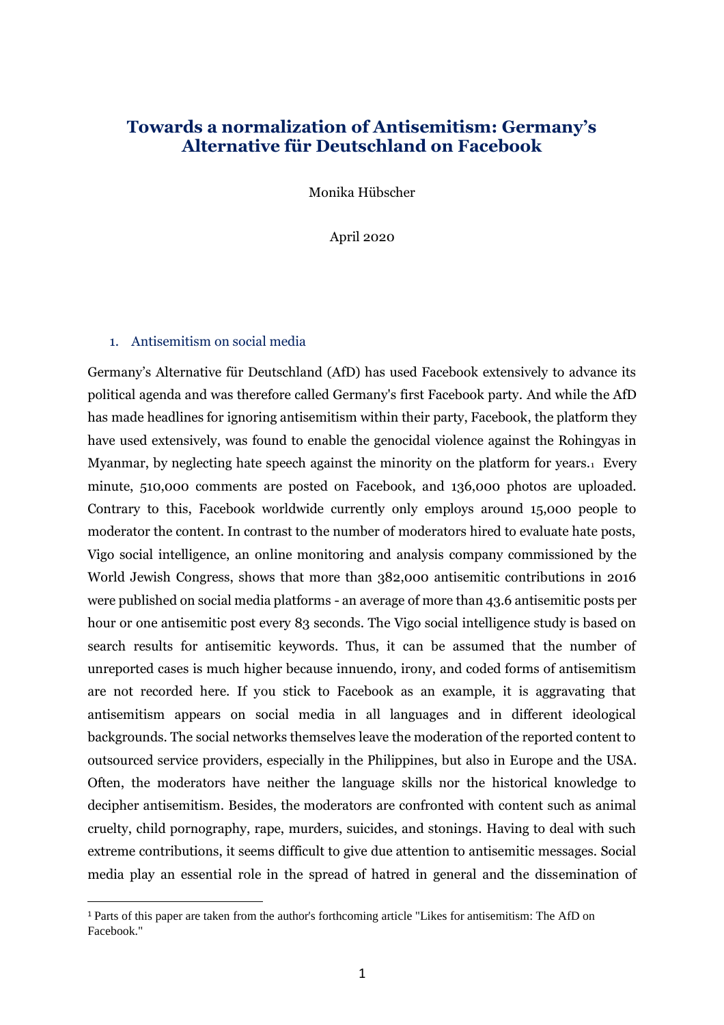## **Towards a normalization of Antisemitism: Germany's Alternative für Deutschland on Facebook**

Monika Hübscher

April 2020

## 1. Antisemitism on social media

Germany's Alternative für Deutschland (AfD) has used Facebook extensively to advance its political agenda and was therefore called Germany's first Facebook party. And while the AfD has made headlines for ignoring antisemitism within their party, Facebook, the platform they have used extensively, was found to enable the genocidal violence against the Rohingyas in Myanmar, by neglecting hate speech against the minority on the platform for years.<sup>1</sup> Every minute, 510,000 comments are posted on Facebook, and 136,000 photos are uploaded. Contrary to this, Facebook worldwide currently only employs around 15,000 people to moderator the content. In contrast to the number of moderators hired to evaluate hate posts, Vigo social intelligence, an online monitoring and analysis company commissioned by the World Jewish Congress, shows that more than 382,000 antisemitic contributions in 2016 were published on social media platforms - an average of more than 43.6 antisemitic posts per hour or one antisemitic post every 83 seconds. The Vigo social intelligence study is based on search results for antisemitic keywords. Thus, it can be assumed that the number of unreported cases is much higher because innuendo, irony, and coded forms of antisemitism are not recorded here. If you stick to Facebook as an example, it is aggravating that antisemitism appears on social media in all languages and in different ideological backgrounds. The social networks themselves leave the moderation of the reported content to outsourced service providers, especially in the Philippines, but also in Europe and the USA. Often, the moderators have neither the language skills nor the historical knowledge to decipher antisemitism. Besides, the moderators are confronted with content such as animal cruelty, child pornography, rape, murders, suicides, and stonings. Having to deal with such extreme contributions, it seems difficult to give due attention to antisemitic messages. Social media play an essential role in the spread of hatred in general and the dissemination of

<sup>1</sup> Parts of this paper are taken from the author's forthcoming article "Likes for antisemitism: The AfD on Facebook."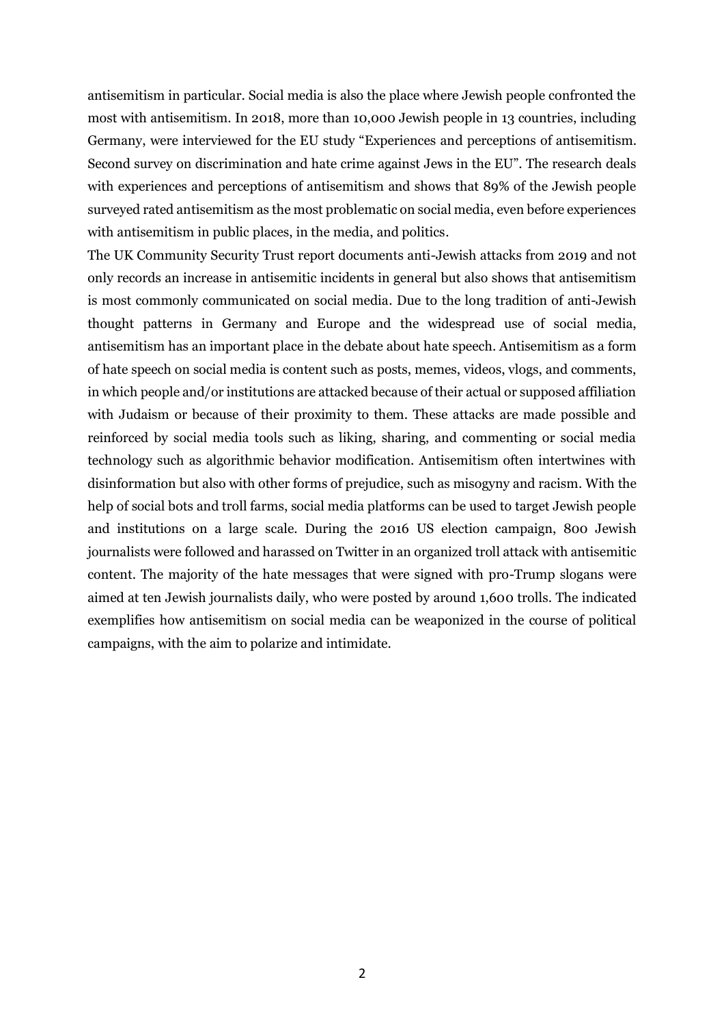antisemitism in particular. Social media is also the place where Jewish people confronted the most with antisemitism. In 2018, more than 10,000 Jewish people in 13 countries, including Germany, were interviewed for the EU study "Experiences and perceptions of antisemitism. Second survey on discrimination and hate crime against Jews in the EU". The research deals with experiences and perceptions of antisemitism and shows that 89% of the Jewish people surveyed rated antisemitism as the most problematic on social media, even before experiences with antisemitism in public places, in the media, and politics.

The UK Community Security Trust report documents anti-Jewish attacks from 2019 and not only records an increase in antisemitic incidents in general but also shows that antisemitism is most commonly communicated on social media. Due to the long tradition of anti-Jewish thought patterns in Germany and Europe and the widespread use of social media, antisemitism has an important place in the debate about hate speech. Antisemitism as a form of hate speech on social media is content such as posts, memes, videos, vlogs, and comments, in which people and/or institutions are attacked because of their actual or supposed affiliation with Judaism or because of their proximity to them. These attacks are made possible and reinforced by social media tools such as liking, sharing, and commenting or social media technology such as algorithmic behavior modification. Antisemitism often intertwines with disinformation but also with other forms of prejudice, such as misogyny and racism. With the help of social bots and troll farms, social media platforms can be used to target Jewish people and institutions on a large scale. During the 2016 US election campaign, 800 Jewish journalists were followed and harassed on Twitter in an organized troll attack with antisemitic content. The majority of the hate messages that were signed with pro-Trump slogans were aimed at ten Jewish journalists daily, who were posted by around 1,600 trolls. The indicated exemplifies how antisemitism on social media can be weaponized in the course of political campaigns, with the aim to polarize and intimidate.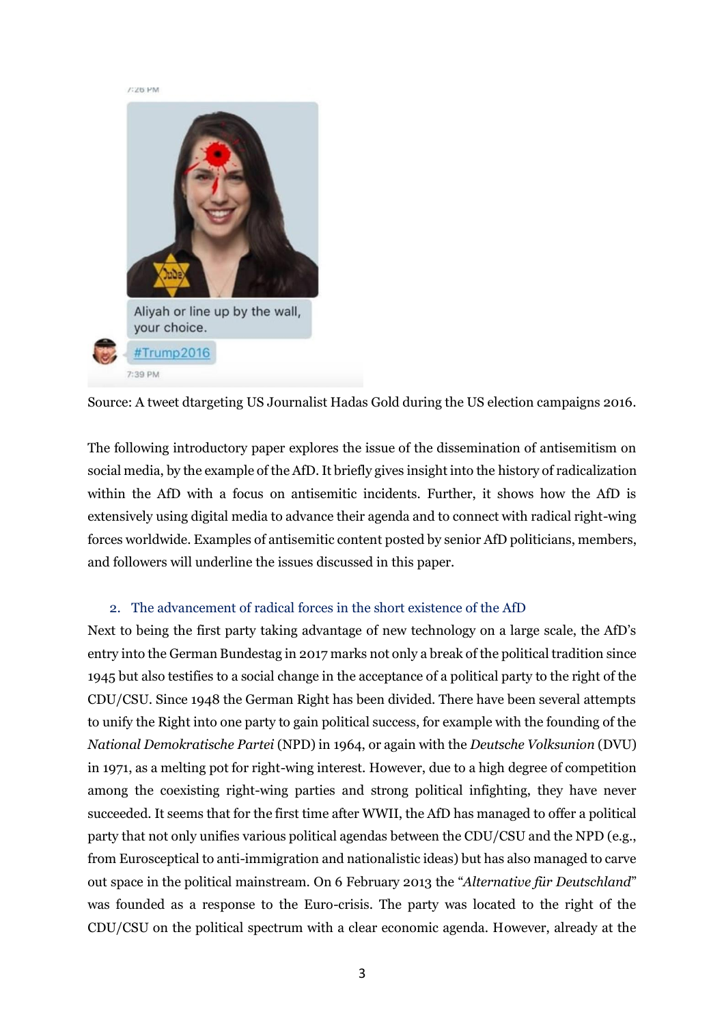

Source: A tweet dtargeting US Journalist Hadas Gold during the US election campaigns 2016.

The following introductory paper explores the issue of the dissemination of antisemitism on social media, by the example of the AfD. It briefly gives insight into the history of radicalization within the AfD with a focus on antisemitic incidents. Further, it shows how the AfD is extensively using digital media to advance their agenda and to connect with radical right-wing forces worldwide. Examples of antisemitic content posted by senior AfD politicians, members, and followers will underline the issues discussed in this paper.

## 2. The advancement of radical forces in the short existence of the AfD

Next to being the first party taking advantage of new technology on a large scale, the AfD's entry into the German Bundestag in 2017 marks not only a break of the political tradition since 1945 but also testifies to a social change in the acceptance of a political party to the right of the CDU/CSU. Since 1948 the German Right has been divided. There have been several attempts to unify the Right into one party to gain political success, for example with the founding of the *National Demokratische Partei* (NPD) in 1964, or again with the *Deutsche Volksunion* (DVU) in 1971, as a melting pot for right-wing interest. However, due to a high degree of competition among the coexisting right-wing parties and strong political infighting, they have never succeeded. It seems that for the first time after WWII, the AfD has managed to offer a political party that not only unifies various political agendas between the CDU/CSU and the NPD (e.g., from Eurosceptical to anti-immigration and nationalistic ideas) but has also managed to carve out space in the political mainstream. On 6 February 2013 the "*Alternative für Deutschland*" was founded as a response to the Euro-crisis. The party was located to the right of the CDU/CSU on the political spectrum with a clear economic agenda. However, already at the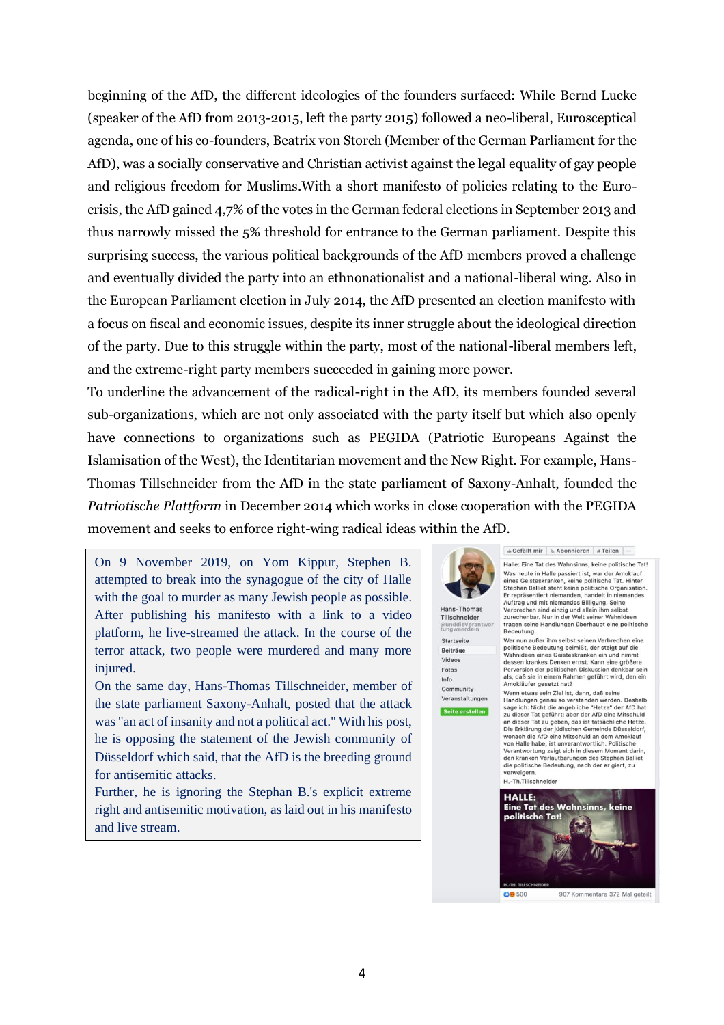beginning of the AfD, the different ideologies of the founders surfaced: While Bernd Lucke (speaker of the AfD from 2013-2015, left the party 2015) followed a neo-liberal, Eurosceptical agenda, one of his co-founders, Beatrix von Storch (Member of the German Parliament for the AfD), was a socially conservative and Christian activist against the legal equality of gay people and religious freedom for Muslims.With a short manifesto of policies relating to the Eurocrisis, the AfD gained 4,7% of the votes in the German federal elections in September 2013 and thus narrowly missed the 5% threshold for entrance to the German parliament. Despite this surprising success, the various political backgrounds of the AfD members proved a challenge and eventually divided the party into an ethnonationalist and a national-liberal wing. Also in the European Parliament election in July 2014, the AfD presented an election manifesto with a focus on fiscal and economic issues, despite its inner struggle about the ideological direction of the party. Due to this struggle within the party, most of the national-liberal members left, and the extreme-right party members succeeded in gaining more power.

To underline the advancement of the radical-right in the AfD, its members founded several sub-organizations, which are not only associated with the party itself but which also openly have connections to organizations such as PEGIDA (Patriotic Europeans Against the Islamisation of the West), the Identitarian movement and the New Right. For example, Hans-Thomas Tillschneider from the AfD in the state parliament of Saxony-Anhalt, founded the *Patriotische Plattform* in December 2014 which works in close cooperation with the PEGIDA movement and seeks to enforce right-wing radical ideas within the AfD.

On 9 November 2019, on Yom Kippur, Stephen B. attempted to break into the synagogue of the city of Halle with the goal to murder as many Jewish people as possible. After publishing his manifesto with a link to a video platform, he live-streamed the attack. In the course of the terror attack, two people were murdered and many more injured.

On the same day, Hans-Thomas Tillschneider, member of the state parliament Saxony-Anhalt, posted that the attack was "an act of insanity and not a political act." With his post, he is opposing the statement of the Jewish community of Düsseldorf which said, that the AfD is the breeding ground for antisemitic attacks.

Further, he is ignoring the Stephan B.'s explicit extreme right and antisemitic motivation, as laid out in his manifesto and live stream.



Hans-Thomas Tillschneider Startseite Beiträge Videos Fotos Info Community

Veranstaltungen Seite erstellen Befällt mir | ∌ Abonnieren | # Teilen | ...

Halle: Eine Tat des Wahnsinns, keine politische Tat! Fraince: Eine late ous warmsimps, weine points one and was heated in Halle passiert ist, war der Amoklauf<br>eines Geisteskranken, keine politische Tat. Hinter<br>Stephan Balliet steht keine politische Organisation<br>Er repräsenti Verbrechen sind einzig und allein ihm selbst zurechenbar. Nur in der Welt seiner Wahnideer tragen seine Handlungen überhaupt eine politische<br>Bedeutung.

Wer nun außer ihm selbst seinen Verbrechen eine Wer nun außer ihm selbst seinen Verbrechen eine<br>politische Bedeutung beimlät, der steigt auf die<br>Wahnideen eines Geisteskranken ein und nimmt<br>dessen krankes Denken ernst. Kann eine größere<br>Perversion der politischen Diskus

Wenn etwas sein Ziel ist, dann, daß seine<br>Handlungen genau so verstanden werden. Deshalb<br>sage ich: Nicht die angebliche "Hetze" der AfD hat<br>zu dieser Tat geführt; aber der AfD eine Mitschuld an dieser Tat zu geben, das ist tatsächliche Hetze Die Erklärung der jüdischen Gemeinde Düsseldorf, wonach die AfD eine Mitschuld an dem Amoklauf von Halle habe, ist unverantwortlich, Politische von Halle nabe, ist unverantwortlich. Politische<br>Verantwortung zeigt sich in diesem Moment darin<br>den kranken Verlautbarungen des Stephan Balliet<br>die politische Bedeutung, nach der er giert, zu verweigern

H.-Th.Tillschneider

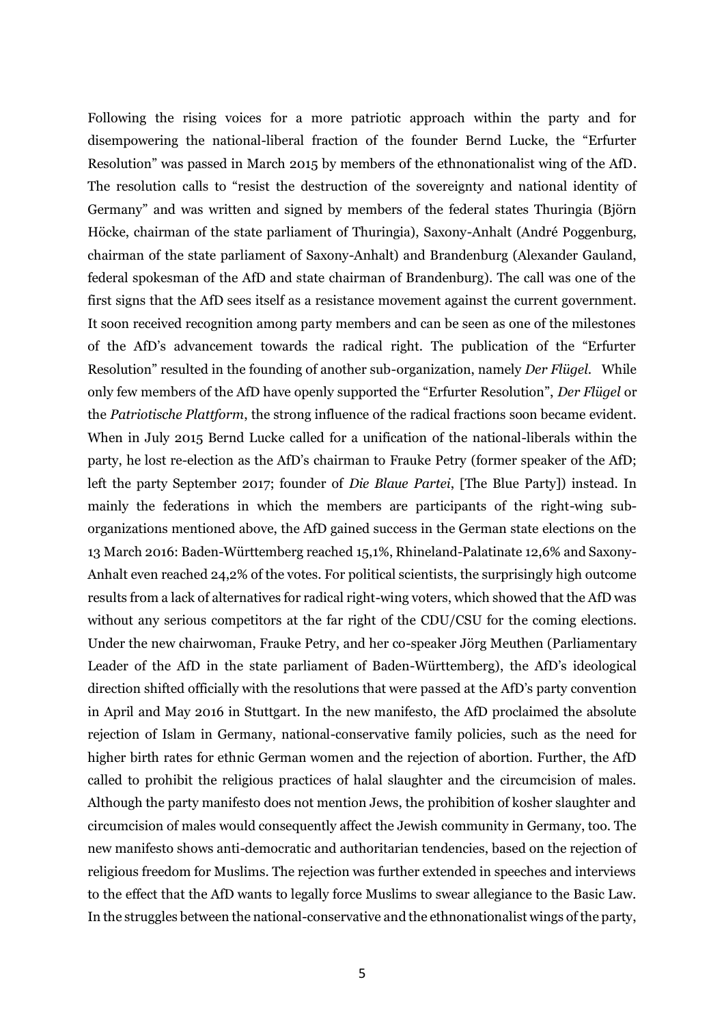Following the rising voices for a more patriotic approach within the party and for disempowering the national-liberal fraction of the founder Bernd Lucke, the "Erfurter Resolution" was passed in March 2015 by members of the ethnonationalist wing of the AfD. The resolution calls to "resist the destruction of the sovereignty and national identity of Germany" and was written and signed by members of the federal states Thuringia (Björn Höcke, chairman of the state parliament of Thuringia), Saxony-Anhalt (André Poggenburg, chairman of the state parliament of Saxony-Anhalt) and Brandenburg (Alexander Gauland, federal spokesman of the AfD and state chairman of Brandenburg). The call was one of the first signs that the AfD sees itself as a resistance movement against the current government. It soon received recognition among party members and can be seen as one of the milestones of the AfD's advancement towards the radical right. The publication of the "Erfurter Resolution" resulted in the founding of another sub-organization, namely *Der Flügel*. While only few members of the AfD have openly supported the "Erfurter Resolution", *Der Flügel* or the *Patriotische Plattform*, the strong influence of the radical fractions soon became evident. When in July 2015 Bernd Lucke called for a unification of the national-liberals within the party, he lost re-election as the AfD's chairman to Frauke Petry (former speaker of the AfD; left the party September 2017; founder of *Die Blaue Partei*, [The Blue Party]) instead. In mainly the federations in which the members are participants of the right-wing suborganizations mentioned above, the AfD gained success in the German state elections on the 13 March 2016: Baden-Württemberg reached 15,1%, Rhineland-Palatinate 12,6% and Saxony-Anhalt even reached 24,2% of the votes. For political scientists, the surprisingly high outcome results from a lack of alternatives for radical right-wing voters, which showed that the AfD was without any serious competitors at the far right of the CDU/CSU for the coming elections. Under the new chairwoman, Frauke Petry, and her co-speaker Jörg Meuthen (Parliamentary Leader of the AfD in the state parliament of Baden-Württemberg), the AfD's ideological direction shifted officially with the resolutions that were passed at the AfD's party convention in April and May 2016 in Stuttgart. In the new manifesto, the AfD proclaimed the absolute rejection of Islam in Germany, national-conservative family policies, such as the need for higher birth rates for ethnic German women and the rejection of abortion. Further, the AfD called to prohibit the religious practices of halal slaughter and the circumcision of males. Although the party manifesto does not mention Jews, the prohibition of kosher slaughter and circumcision of males would consequently affect the Jewish community in Germany, too. The new manifesto shows anti-democratic and authoritarian tendencies, based on the rejection of religious freedom for Muslims. The rejection was further extended in speeches and interviews to the effect that the AfD wants to legally force Muslims to swear allegiance to the Basic Law. In the struggles between the national-conservative and the ethnonationalist wings of the party,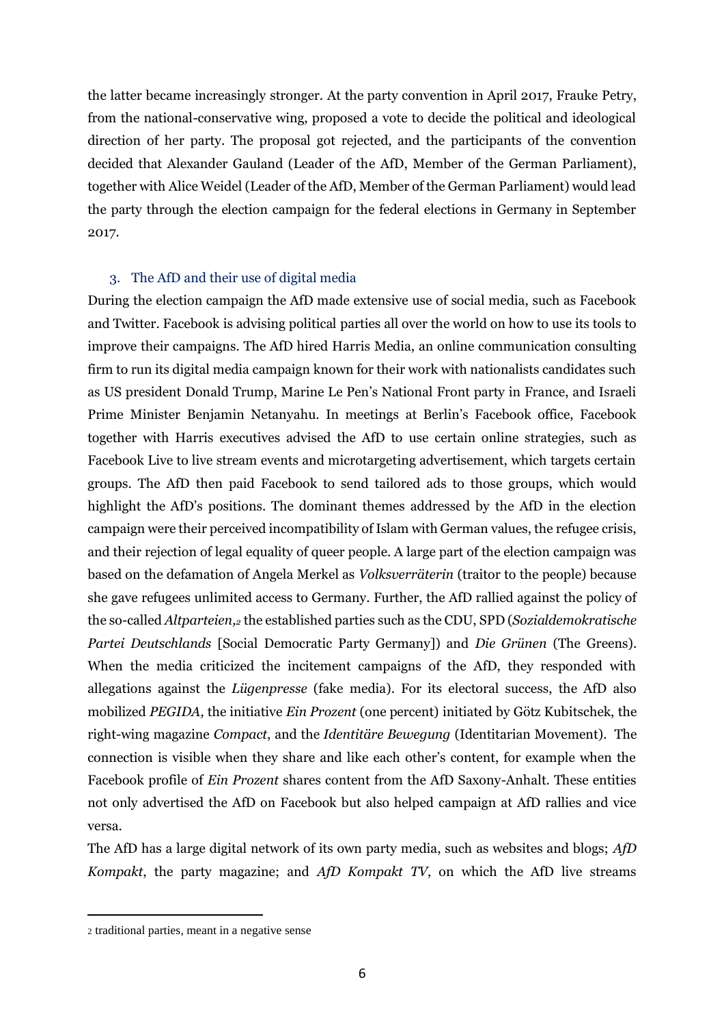the latter became increasingly stronger. At the party convention in April 2017, Frauke Petry, from the national-conservative wing, proposed a vote to decide the political and ideological direction of her party. The proposal got rejected, and the participants of the convention decided that Alexander Gauland (Leader of the AfD, Member of the German Parliament), together with Alice Weidel (Leader of the AfD, Member of the German Parliament) would lead the party through the election campaign for the federal elections in Germany in September 2017.

## 3. The AfD and their use of digital media

During the election campaign the AfD made extensive use of social media, such as Facebook and Twitter. Facebook is advising political parties all over the world on how to use its tools to improve their campaigns. The AfD hired Harris Media, an online communication consulting firm to run its digital media campaign known for their work with nationalists candidates such as US president Donald Trump, Marine Le Pen's National Front party in France, and Israeli Prime Minister Benjamin Netanyahu. In meetings at Berlin's Facebook office, Facebook together with Harris executives advised the AfD to use certain online strategies, such as Facebook Live to live stream events and microtargeting advertisement, which targets certain groups. The AfD then paid Facebook to send tailored ads to those groups, which would highlight the AfD's positions. The dominant themes addressed by the AfD in the election campaign were their perceived incompatibility of Islam with German values, the refugee crisis, and their rejection of legal equality of queer people. A large part of the election campaign was based on the defamation of Angela Merkel as *Volksverräterin* (traitor to the people) because she gave refugees unlimited access to Germany. Further, the AfD rallied against the policy of the so-called *Altparteien,<sup>2</sup>* the established parties such as the CDU, SPD (*Sozialdemokratische Partei Deutschlands* [Social Democratic Party Germany]) and *Die Grünen* (The Greens). When the media criticized the incitement campaigns of the AfD, they responded with allegations against the *Lügenpresse* (fake media). For its electoral success, the AfD also mobilized *PEGIDA,* the initiative *Ein Prozent* (one percent) initiated by Götz Kubitschek, the right-wing magazine *Compact*, and the *Identitäre Bewegung* (Identitarian Movement). The connection is visible when they share and like each other's content, for example when the Facebook profile of *Ein Prozent* shares content from the AfD Saxony-Anhalt. These entities not only advertised the AfD on Facebook but also helped campaign at AfD rallies and vice versa.

The AfD has a large digital network of its own party media, such as websites and blogs; *AfD Kompakt*, the party magazine; and *AfD Kompakt TV*, on which the AfD live streams

<sup>2</sup> traditional parties, meant in a negative sense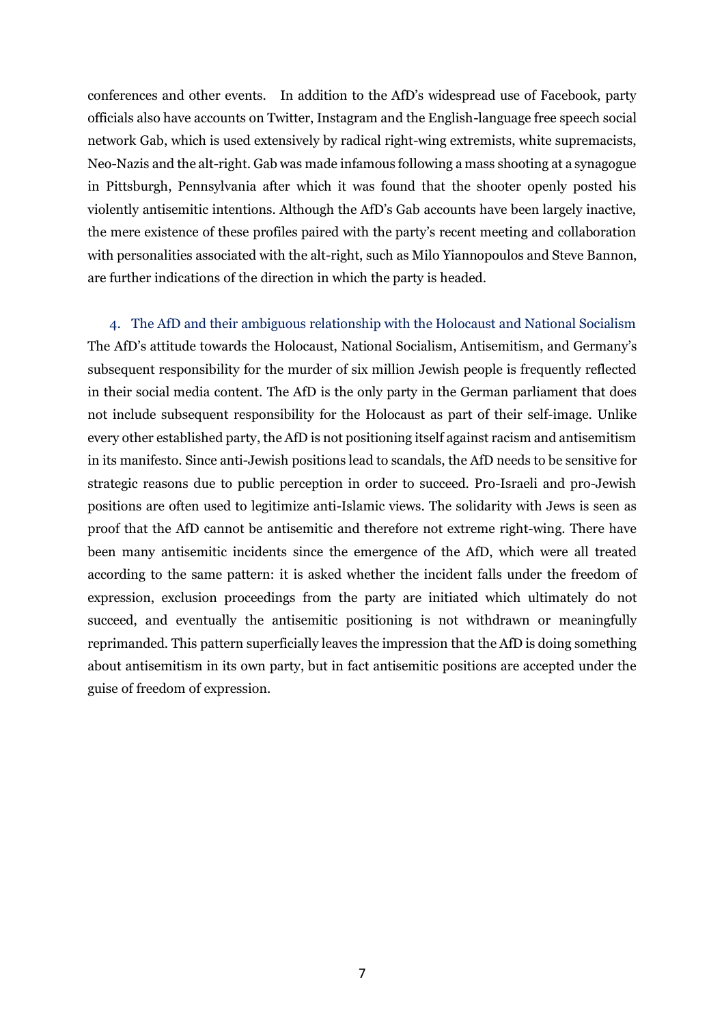conferences and other events. In addition to the AfD's widespread use of Facebook, party officials also have accounts on Twitter, Instagram and the English-language free speech social network Gab, which is used extensively by radical right-wing extremists, white supremacists, Neo-Nazis and the alt-right. Gab was made infamous following a mass shooting at a synagogue in Pittsburgh, Pennsylvania after which it was found that the shooter openly posted his violently antisemitic intentions. Although the AfD's Gab accounts have been largely inactive, the mere existence of these profiles paired with the party's recent meeting and collaboration with personalities associated with the alt-right, such as Milo Yiannopoulos and Steve Bannon, are further indications of the direction in which the party is headed.

4. The AfD and their ambiguous relationship with the Holocaust and National Socialism The AfD's attitude towards the Holocaust, National Socialism, Antisemitism, and Germany's subsequent responsibility for the murder of six million Jewish people is frequently reflected in their social media content. The AfD is the only party in the German parliament that does not include subsequent responsibility for the Holocaust as part of their self-image. Unlike every other established party, the AfD is not positioning itself against racism and antisemitism in its manifesto. Since anti-Jewish positions lead to scandals, the AfD needs to be sensitive for strategic reasons due to public perception in order to succeed. Pro-Israeli and pro-Jewish positions are often used to legitimize anti-Islamic views. The solidarity with Jews is seen as proof that the AfD cannot be antisemitic and therefore not extreme right-wing. There have been many antisemitic incidents since the emergence of the AfD, which were all treated according to the same pattern: it is asked whether the incident falls under the freedom of expression, exclusion proceedings from the party are initiated which ultimately do not succeed, and eventually the antisemitic positioning is not withdrawn or meaningfully reprimanded. This pattern superficially leaves the impression that the AfD is doing something about antisemitism in its own party, but in fact antisemitic positions are accepted under the guise of freedom of expression.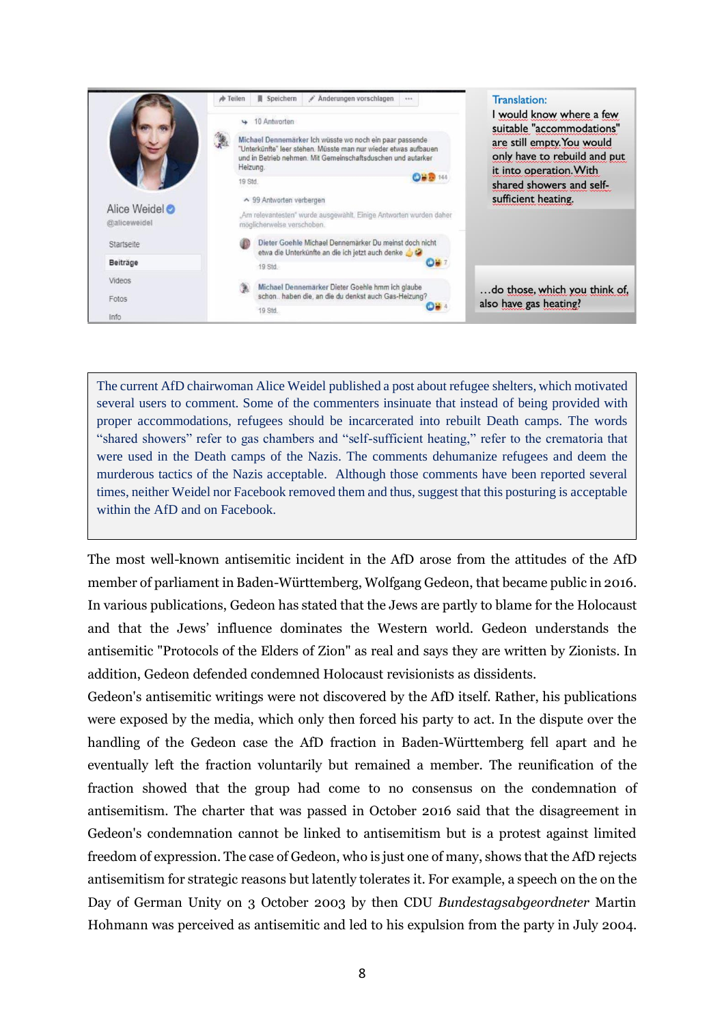|              | $\frac{1}{\sqrt{2}}$ Teilen | Anderungen vorschlagen<br><b>■</b> Speichern<br>                                                                                                                                            | <b>Translation:</b>                                        |
|--------------|-----------------------------|---------------------------------------------------------------------------------------------------------------------------------------------------------------------------------------------|------------------------------------------------------------|
|              | $\overline{\phantom{a}}$    | 10 Antworten                                                                                                                                                                                | I would know where a few<br>suitable "accommodations"      |
|              |                             | Michael Dennemärker Ich wüsste wo noch ein paar passende<br>"Unterkünfte" leer stehen. Müsste man nur wieder etwas aufbauen<br>und in Betrieb nehmen. Mit Gemeinschaftsduschen und autarker | are still empty. You would<br>only have to rebuild and put |
|              |                             | Heizung.                                                                                                                                                                                    | it into operation. With                                    |
|              | 19 Std.                     | <b>OHD</b> 144                                                                                                                                                                              | shared showers and self-                                   |
|              |                             | ▲ 99 Antworten verbergen                                                                                                                                                                    | sufficient heating.                                        |
| Alice Weidel |                             | Am relevantesten" wurde ausgewählt. Einige Antworten wurden daher                                                                                                                           |                                                            |
| @aliceweidel |                             | möglichenvelse verschoben.                                                                                                                                                                  |                                                            |
| Startseite   |                             | Dieter Goehle Michael Dennemärker Du meinst doch nicht<br>etwa die Unterkünfte an die ich jetzt auch denke                                                                                  |                                                            |
| Beiträge     |                             | D¥ :<br>19 Std.                                                                                                                                                                             |                                                            |
| Videos       |                             | Michael Dennemärker Dieter Goehle hmm ich glaube                                                                                                                                            |                                                            |
| Fotos        |                             | schon haben die, an die du denkst auch Gas-Heizung?                                                                                                                                         | do those, which you think of,                              |
| Info         |                             | 19 Std.                                                                                                                                                                                     | also have gas heating?                                     |

The current AfD chairwoman Alice Weidel published a post about refugee shelters, which motivated several users to comment. Some of the commenters insinuate that instead of being provided with proper accommodations, refugees should be incarcerated into rebuilt Death camps. The words "shared showers" refer to gas chambers and "self-sufficient heating," refer to the crematoria that were used in the Death camps of the Nazis. The comments dehumanize refugees and deem the murderous tactics of the Nazis acceptable. Although those comments have been reported several times, neither Weidel nor Facebook removed them and thus, suggest that this posturing is acceptable within the AfD and on Facebook.

The most well-known antisemitic incident in the AfD arose from the attitudes of the AfD member of parliament in Baden-Württemberg, Wolfgang Gedeon, that became public in 2016. In various publications, Gedeon has stated that the Jews are partly to blame for the Holocaust and that the Jews' influence dominates the Western world. Gedeon understands the antisemitic "Protocols of the Elders of Zion" as real and says they are written by Zionists. In addition, Gedeon defended condemned Holocaust revisionists as dissidents.

Gedeon's antisemitic writings were not discovered by the AfD itself. Rather, his publications were exposed by the media, which only then forced his party to act. In the dispute over the handling of the Gedeon case the AfD fraction in Baden-Württemberg fell apart and he eventually left the fraction voluntarily but remained a member. The reunification of the fraction showed that the group had come to no consensus on the condemnation of antisemitism. The charter that was passed in October 2016 said that the disagreement in Gedeon's condemnation cannot be linked to antisemitism but is a protest against limited freedom of expression. The case of Gedeon, who is just one of many, shows that the AfD rejects antisemitism for strategic reasons but latently tolerates it. For example, a speech on the on the Day of German Unity on 3 October 2003 by then CDU *Bundestagsabgeordneter* Martin Hohmann was perceived as antisemitic and led to his expulsion from the party in July 2004.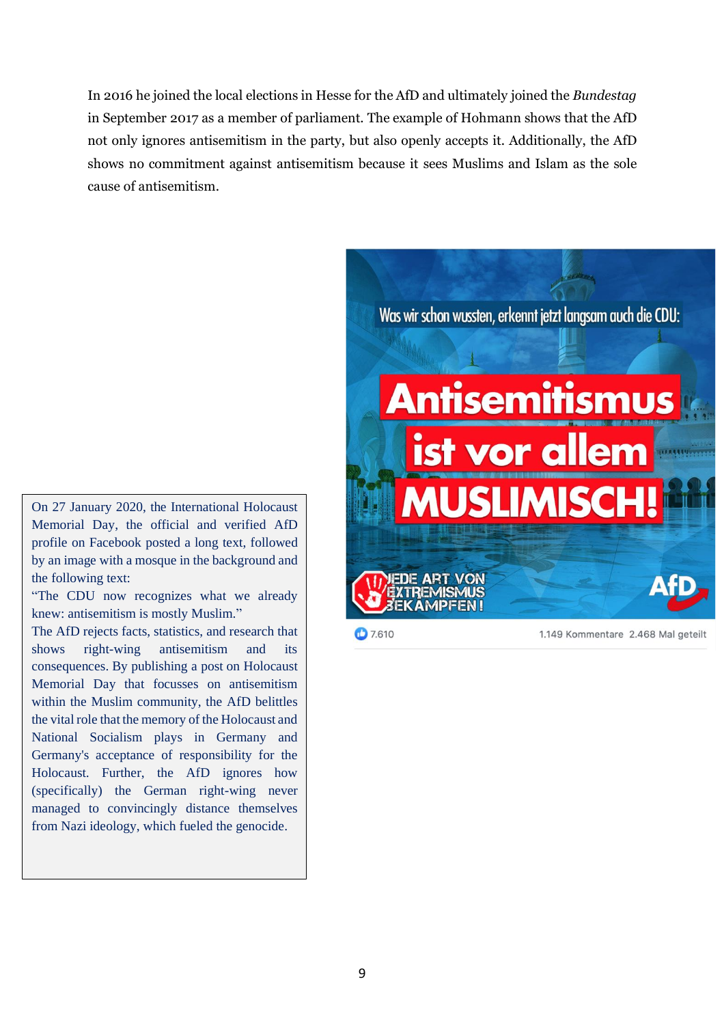In 2016 he joined the local elections in Hesse for the AfD and ultimately joined the *Bundestag* in September 2017 as a member of parliament. The example of Hohmann shows that the AfD not only ignores antisemitism in the party, but also openly accepts it. Additionally, the AfD shows no commitment against antisemitism because it sees Muslims and Islam as the sole cause of antisemitism.

On 27 January 2020, the International Holocaust Memorial Day, the official and verified AfD profile on Facebook posted a long text, followed by an image with a mosque in the background and the following text:

"The CDU now recognizes what we already knew: antisemitism is mostly Muslim."

The AfD rejects facts, statistics, and research that shows right-wing antisemitism and its consequences. By publishing a post on Holocaust Memorial Day that focusses on antisemitism within the Muslim community, the AfD belittles the vital role that the memory of the Holocaust and National Socialism plays in Germany and Germany's acceptance of responsibility for the Holocaust. Further, the AfD ignores how (specifically) the German right-wing never managed to convincingly distance themselves from Nazi ideology, which fueled the genocide.



**0** 7.610

1.149 Kommentare 2.468 Mal geteilt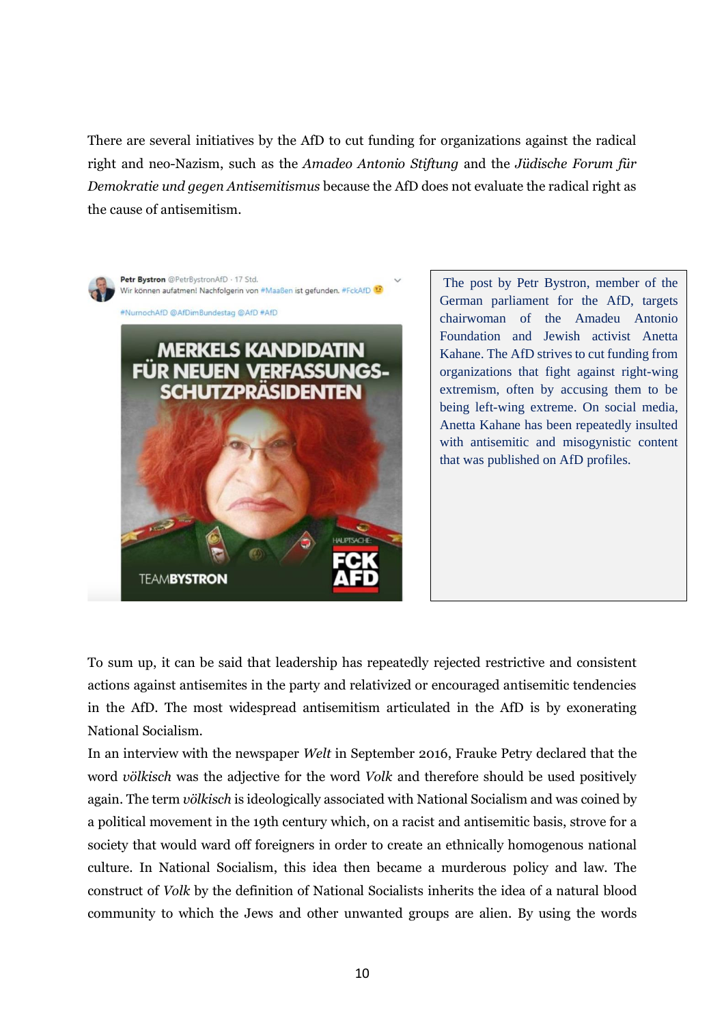There are several initiatives by the AfD to cut funding for organizations against the radical right and neo-Nazism, such as the *Amadeo Antonio Stiftung* and the *Jüdische Forum für Demokratie und gegen Antisemitismus* because the AfD does not evaluate the radical right as the cause of antisemitism.



The post by Petr Bystron, member of the German parliament for the AfD, targets chairwoman of the Amadeu Antonio Foundation and Jewish activist Anetta Kahane. The AfD strives to cut funding from organizations that fight against right-wing extremism, often by accusing them to be being left-wing extreme. On social media, Anetta Kahane has been repeatedly insulted with antisemitic and misogynistic content that was published on AfD profiles.

To sum up, it can be said that leadership has repeatedly rejected restrictive and consistent actions against antisemites in the party and relativized or encouraged antisemitic tendencies in the AfD. The most widespread antisemitism articulated in the AfD is by exonerating National Socialism.

In an interview with the newspaper *Welt* in September 2016, Frauke Petry declared that the word *völkisch* was the adjective for the word *Volk* and therefore should be used positively again. The term *völkisch* is ideologically associated with National Socialism and was coined by a political movement in the 19th century which, on a racist and antisemitic basis, strove for a society that would ward off foreigners in order to create an ethnically homogenous national culture. In National Socialism, this idea then became a murderous policy and law. The construct of *Volk* by the definition of National Socialists inherits the idea of a natural blood community to which the Jews and other unwanted groups are alien. By using the words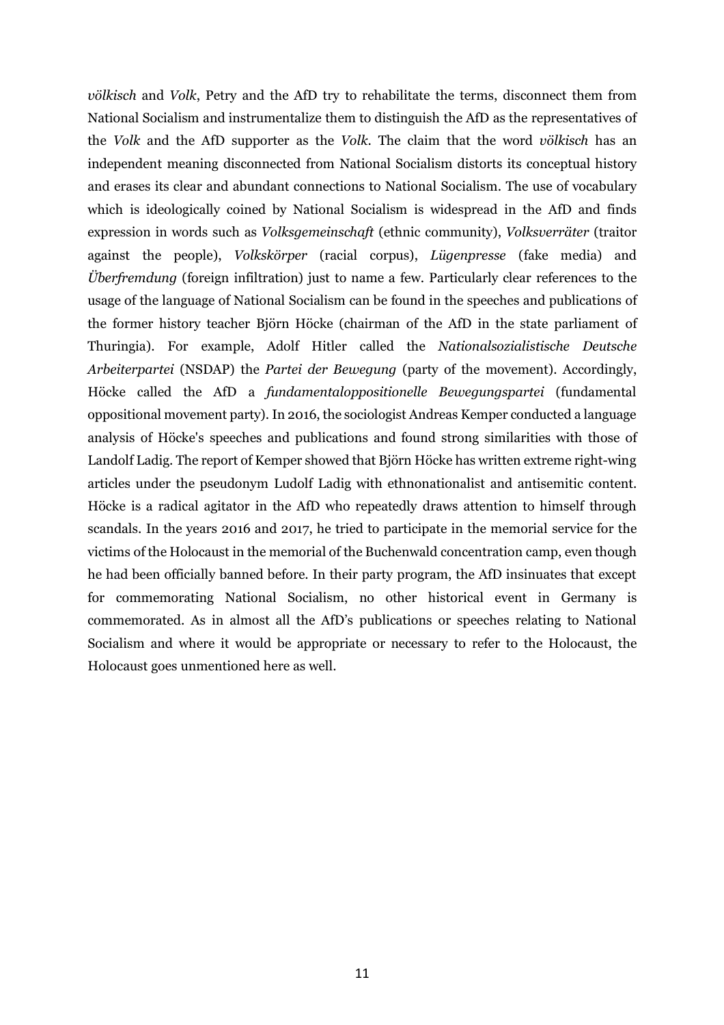*völkisch* and *Volk*, Petry and the AfD try to rehabilitate the terms, disconnect them from National Socialism and instrumentalize them to distinguish the AfD as the representatives of the *Volk* and the AfD supporter as the *Volk*. The claim that the word *völkisch* has an independent meaning disconnected from National Socialism distorts its conceptual history and erases its clear and abundant connections to National Socialism. The use of vocabulary which is ideologically coined by National Socialism is widespread in the AfD and finds expression in words such as *Volksgemeinschaft* (ethnic community), *Volksverräter* (traitor against the people), *Volkskörper* (racial corpus), *Lügenpresse* (fake media) and *Überfremdung* (foreign infiltration) just to name a few. Particularly clear references to the usage of the language of National Socialism can be found in the speeches and publications of the former history teacher Björn Höcke (chairman of the AfD in the state parliament of Thuringia). For example, Adolf Hitler called the *Nationalsozialistische Deutsche Arbeiterpartei* (NSDAP) the *Partei der Bewegung* (party of the movement). Accordingly, Höcke called the AfD a *fundamentaloppositionelle Bewegungspartei* (fundamental oppositional movement party). In 2016, the sociologist Andreas Kemper conducted a language analysis of Höcke's speeches and publications and found strong similarities with those of Landolf Ladig. The report of Kemper showed that Björn Höcke has written extreme right-wing articles under the pseudonym Ludolf Ladig with ethnonationalist and antisemitic content. Höcke is a radical agitator in the AfD who repeatedly draws attention to himself through scandals. In the years 2016 and 2017, he tried to participate in the memorial service for the victims of the Holocaust in the memorial of the Buchenwald concentration camp, even though he had been officially banned before. In their party program, the AfD insinuates that except for commemorating National Socialism, no other historical event in Germany is commemorated. As in almost all the AfD's publications or speeches relating to National Socialism and where it would be appropriate or necessary to refer to the Holocaust, the Holocaust goes unmentioned here as well.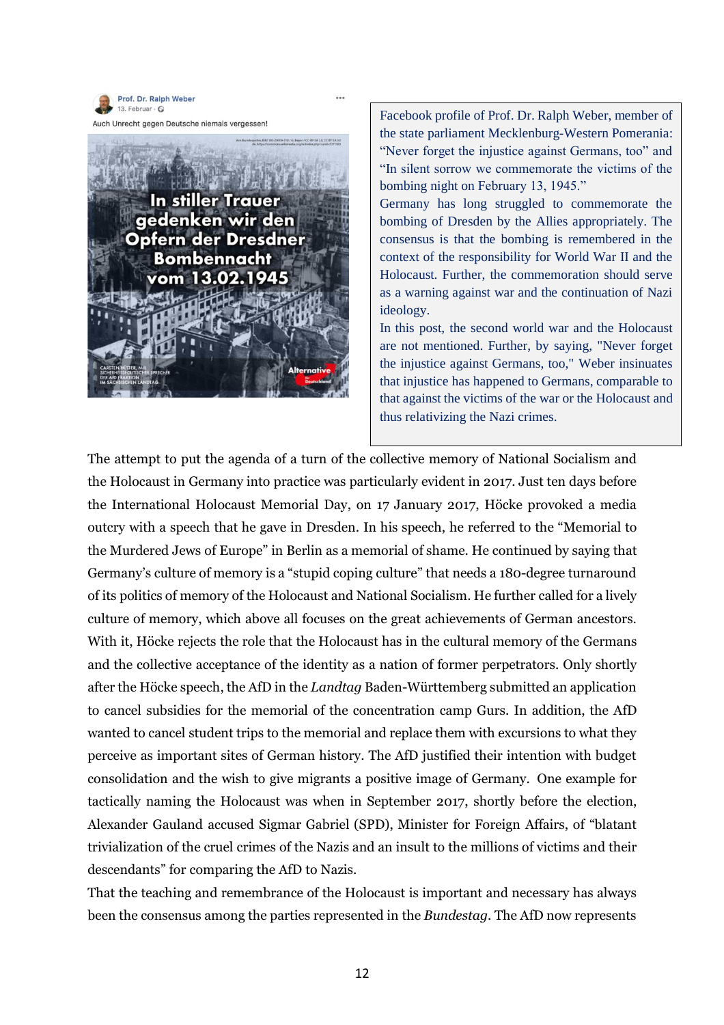

Auch Unrecht gegen Deutsche niemals vergessen!



Facebook profile of Prof. Dr. Ralph Weber, member of the state parliament Mecklenburg-Western Pomerania: "Never forget the injustice against Germans, too" and "In silent sorrow we commemorate the victims of the bombing night on February 13, 1945."

Germany has long struggled to commemorate the bombing of Dresden by the Allies appropriately. The consensus is that the bombing is remembered in the context of the responsibility for World War II and the Holocaust. Further, the commemoration should serve as a warning against war and the continuation of Nazi ideology.

In this post, the second world war and the Holocaust are not mentioned. Further, by saying, "Never forget the injustice against Germans, too," Weber insinuates that injustice has happened to Germans, comparable to that against the victims of the war or the Holocaust and thus relativizing the Nazi crimes.

The attempt to put the agenda of a turn of the collective memory of National Socialism and the Holocaust in Germany into practice was particularly evident in 2017. Just ten days before the International Holocaust Memorial Day, on 17 January 2017, Höcke provoked a media outcry with a speech that he gave in Dresden. In his speech, he referred to the "Memorial to the Murdered Jews of Europe" in Berlin as a memorial of shame. He continued by saying that Germany's culture of memory is a "stupid coping culture" that needs a 180-degree turnaround of its politics of memory of the Holocaust and National Socialism. He further called for a lively culture of memory, which above all focuses on the great achievements of German ancestors. With it, Höcke rejects the role that the Holocaust has in the cultural memory of the Germans and the collective acceptance of the identity as a nation of former perpetrators. Only shortly after the Höcke speech, the AfD in the *Landtag* Baden-Württemberg submitted an application to cancel subsidies for the memorial of the concentration camp Gurs. In addition, the AfD wanted to cancel student trips to the memorial and replace them with excursions to what they perceive as important sites of German history. The AfD justified their intention with budget consolidation and the wish to give migrants a positive image of Germany. One example for tactically naming the Holocaust was when in September 2017, shortly before the election, Alexander Gauland accused Sigmar Gabriel (SPD), Minister for Foreign Affairs, of "blatant trivialization of the cruel crimes of the Nazis and an insult to the millions of victims and their descendants" for comparing the AfD to Nazis.

That the teaching and remembrance of the Holocaust is important and necessary has always been the consensus among the parties represented in the *Bundestag*. The AfD now represents